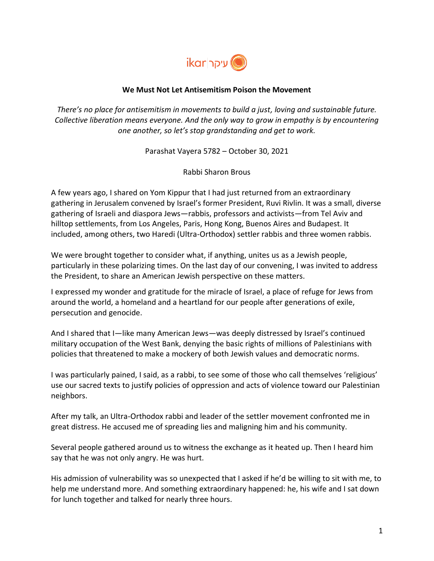

## **We Must Not Let Antisemitism Poison the Movement**

*There's no place for antisemitism in movements to build a just, loving and sustainable future. Collective liberation means everyone. And the only way to grow in empathy is by encountering one another, so let's stop grandstanding and get to work.*

Parashat Vayera 5782 – October 30, 2021

Rabbi Sharon Brous

A few years ago, I shared on Yom Kippur that I had just returned from an extraordinary gathering in Jerusalem convened by Israel's former President, Ruvi Rivlin. It was a small, diverse gathering of Israeli and diaspora Jews—rabbis, professors and activists—from Tel Aviv and hilltop settlements, from Los Angeles, Paris, Hong Kong, Buenos Aires and Budapest. It included, among others, two Haredi (Ultra-Orthodox) settler rabbis and three women rabbis.

We were brought together to consider what, if anything, unites us as a Jewish people, particularly in these polarizing times. On the last day of our convening, I was invited to address the President, to share an American Jewish perspective on these matters.

I expressed my wonder and gratitude for the miracle of Israel, a place of refuge for Jews from around the world, a homeland and a heartland for our people after generations of exile, persecution and genocide.

And I shared that I—like many American Jews—was deeply distressed by Israel's continued military occupation of the West Bank, denying the basic rights of millions of Palestinians with policies that threatened to make a mockery of both Jewish values and democratic norms.

I was particularly pained, I said, as a rabbi, to see some of those who call themselves 'religious' use our sacred texts to justify policies of oppression and acts of violence toward our Palestinian neighbors.

After my talk, an Ultra-Orthodox rabbi and leader of the settler movement confronted me in great distress. He accused me of spreading lies and maligning him and his community.

Several people gathered around us to witness the exchange as it heated up. Then I heard him say that he was not only angry. He was hurt.

His admission of vulnerability was so unexpected that I asked if he'd be willing to sit with me, to help me understand more. And something extraordinary happened: he, his wife and I sat down for lunch together and talked for nearly three hours.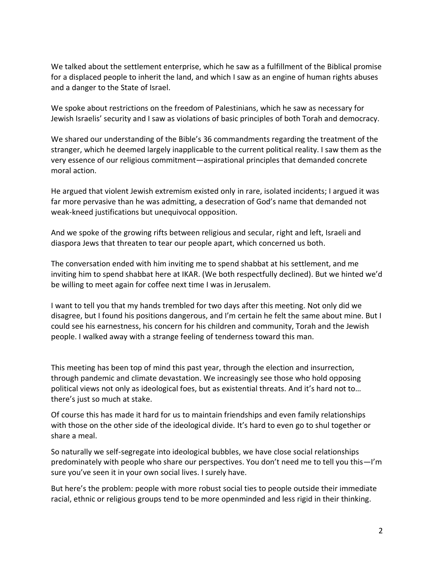We talked about the settlement enterprise, which he saw as a fulfillment of the Biblical promise for a displaced people to inherit the land, and which I saw as an engine of human rights abuses and a danger to the State of Israel.

We spoke about restrictions on the freedom of Palestinians, which he saw as necessary for Jewish Israelis' security and I saw as violations of basic principles of both Torah and democracy.

We shared our understanding of the Bible's 36 commandments regarding the treatment of the stranger, which he deemed largely inapplicable to the current political reality. I saw them as the very essence of our religious commitment—aspirational principles that demanded concrete moral action.

He argued that violent Jewish extremism existed only in rare, isolated incidents; I argued it was far more pervasive than he was admitting, a desecration of God's name that demanded not weak-kneed justifications but unequivocal opposition.

And we spoke of the growing rifts between religious and secular, right and left, Israeli and diaspora Jews that threaten to tear our people apart, which concerned us both.

The conversation ended with him inviting me to spend shabbat at his settlement, and me inviting him to spend shabbat here at IKAR. (We both respectfully declined). But we hinted we'd be willing to meet again for coffee next time I was in Jerusalem.

I want to tell you that my hands trembled for two days after this meeting. Not only did we disagree, but I found his positions dangerous, and I'm certain he felt the same about mine. But I could see his earnestness, his concern for his children and community, Torah and the Jewish people. I walked away with a strange feeling of tenderness toward this man.

This meeting has been top of mind this past year, through the election and insurrection, through pandemic and climate devastation. We increasingly see those who hold opposing political views not only as ideological foes, but as existential threats. And it's hard not to… there's just so much at stake.

Of course this has made it hard for us to maintain friendships and even family relationships with those on the other side of the ideological divide. It's hard to even go to shul together or share a meal.

So naturally we self-segregate into ideological bubbles, we have close social relationships predominately with people who share our perspectives. You don't need me to tell you this—I'm sure you've seen it in your own social lives. I surely have.

But here's the problem: people with more robust social ties to people outside their immediate racial, ethnic or religious groups tend to be more openminded and less rigid in their thinking.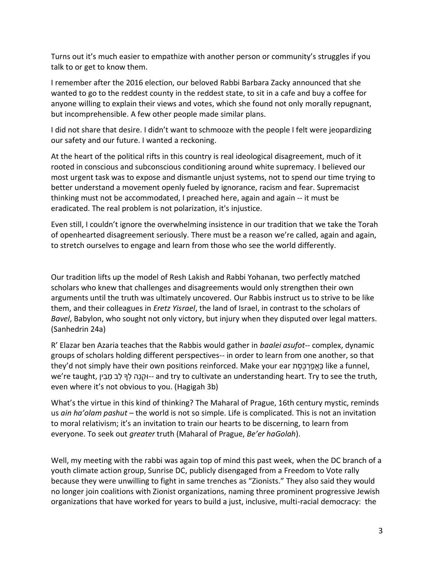Turns out it's much easier to empathize with another person or community's struggles if you talk to or get to know them.

I remember after the 2016 election, our beloved Rabbi Barbara Zacky announced that she wanted to go to the reddest county in the reddest state, to sit in a cafe and buy a coffee for anyone willing to explain their views and votes, which she found not only morally repugnant, but incomprehensible. A few other people made similar plans.

I did not share that desire. I didn't want to schmooze with the people I felt were jeopardizing our safety and our future. I wanted a reckoning.

At the heart of the political rifts in this country is real ideological disagreement, much of it rooted in conscious and subconscious conditioning around white supremacy. I believed our most urgent task was to expose and dismantle unjust systems, not to spend our time trying to better understand a movement openly fueled by ignorance, racism and fear. Supremacist thinking must not be accommodated, I preached here, again and again -- it must be eradicated. The real problem is not polarization, it's injustice.

Even still, I couldn't ignore the overwhelming insistence in our tradition that we take the Torah of openhearted disagreement seriously. There must be a reason we're called, again and again, to stretch ourselves to engage and learn from those who see the world differently.

Our tradition lifts up the model of Resh Lakish and Rabbi Yohanan, two perfectly matched scholars who knew that challenges and disagreements would only strengthen their own arguments until the truth was ultimately uncovered. Our Rabbis instruct us to strive to be like them, and their colleagues in *Eretz Yisrael*, the land of Israel, in contrast to the scholars of *Bavel*, Babylon, who sought not only victory, but injury when they disputed over legal matters. (Sanhedrin 24a)

R' Elazar ben Azaria teaches that the Rabbis would gather in *baalei asufot*-- complex, dynamic groups of scholars holding different perspectives-- in order to learn from one another, so that they'd not simply have their own positions reinforced. Make your ear הַאֲפַרְכֶּסֶת like a funnel, we're taught, יוּקְנֶה לִךּ לֵב מֵבִין-- and try to cultivate an understanding heart. Try to see the truth, even where it's not obvious to you. (Hagigah 3b)

What's the virtue in this kind of thinking? The Maharal of Prague, 16th century mystic, reminds us *ain ha'olam pashut* – the world is not so simple. Life is complicated. This is not an invitation to moral relativism; it's an invitation to train our hearts to be discerning, to learn from everyone. To seek out *greater* truth (Maharal of Prague, *Be'er haGolah*).

Well, my meeting with the rabbi was again top of mind this past week, when the DC branch of a youth climate action group, Sunrise DC, publicly disengaged from a Freedom to Vote rally because they were unwilling to fight in same trenches as "Zionists." They also said they would no longer join coalitions with Zionist organizations, naming three prominent progressive Jewish organizations that have worked for years to build a just, inclusive, multi-racial democracy: the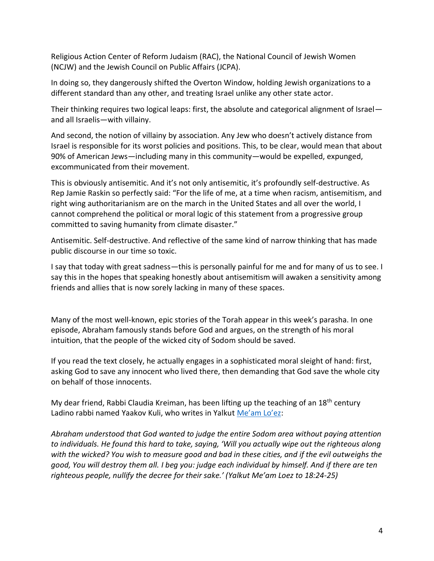Religious Action Center of Reform Judaism (RAC), the National Council of Jewish Women (NCJW) and the Jewish Council on Public Affairs (JCPA).

In doing so, they dangerously shifted the Overton Window, holding Jewish organizations to a different standard than any other, and treating Israel unlike any other state actor.

Their thinking requires two logical leaps: first, the absolute and categorical alignment of Israel and all Israelis—with villainy.

And second, the notion of villainy by association. Any Jew who doesn't actively distance from Israel is responsible for its worst policies and positions. This, to be clear, would mean that about 90% of American Jews—including many in this community—would be expelled, expunged, excommunicated from their movement.

This is obviously antisemitic. And it's not only antisemitic, it's profoundly self-destructive. As Rep Jamie Raskin so perfectly said: "For the life of me, at a time when racism, antisemitism, and right wing authoritarianism are on the march in the United States and all over the world, I cannot comprehend the political or moral logic of this statement from a progressive group committed to saving humanity from climate disaster."

Antisemitic. Self-destructive. And reflective of the same kind of narrow thinking that has made public discourse in our time so toxic.

I say that today with great sadness—this is personally painful for me and for many of us to see. I say this in the hopes that speaking honestly about antisemitism will awaken a sensitivity among friends and allies that is now sorely lacking in many of these spaces.

Many of the most well-known, epic stories of the Torah appear in this week's parasha. In one episode, Abraham famously stands before God and argues, on the strength of his moral intuition, that the people of the wicked city of Sodom should be saved.

If you read the text closely, he actually engages in a sophisticated moral sleight of hand: first, asking God to save any innocent who lived there, then demanding that God save the whole city on behalf of those innocents.

My dear friend, Rabbi Claudia Kreiman, has been lifting up the teaching of an 18<sup>th</sup> century Ladino rabbi named Yaakov Kuli, who writes in Yalkut [Me'am Lo'ez](https://r20.rs6.net/tn.jsp?f=001INlztDXDfpXYC8QED1iLJ-H1eHCfBJwpg1D1xxDuMIlBfR0vk8INGjH7p_ivdfc9lUkCDqCbKCM17C-QAm7a6ssVVKlswIQFgKsFcRQqAm5d1JyEGSUoS6w0J6K8MwcRnAIEpt3kgu0tvcPPOpCyJNAfBO0GGnkbYQ2hQ8pMKWDROreLd65b1w==&c=gPofbI-AsN7ejkaAYnyCTrXnAdCfKUrFSx5S7zHFbd1ZZVQdM5mCAQ==&ch=mr_DcKAqM_7zjdb4X5eIrul5Yzlti7qwjsJwvKQ7Q4yR_BBVKq94Nw==):

*Abraham understood that God wanted to judge the entire Sodom area without paying attention to individuals. He found this hard to take, saying, 'Will you actually wipe out the righteous along with the wicked? You wish to measure good and bad in these cities, and if the evil outweighs the good, You will destroy them all. I beg you: judge each individual by himself. And if there are ten righteous people, nullify the decree for their sake.' (Yalkut Me'am Loez to 18:24-25)*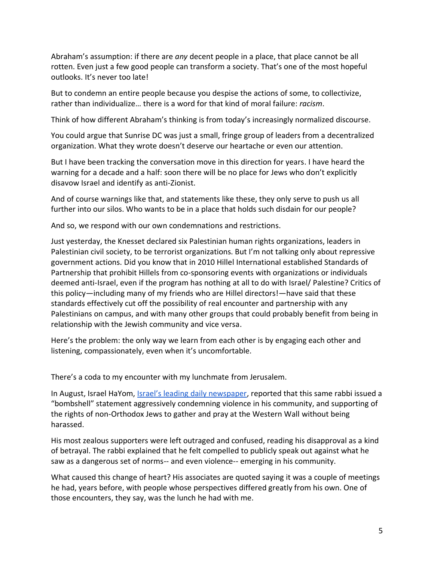Abraham's assumption: if there are *any* decent people in a place, that place cannot be all rotten. Even just a few good people can transform a society. That's one of the most hopeful outlooks. It's never too late!

But to condemn an entire people because you despise the actions of some, to collectivize, rather than individualize… there is a word for that kind of moral failure: *racism*.

Think of how different Abraham's thinking is from today's increasingly normalized discourse.

You could argue that Sunrise DC was just a small, fringe group of leaders from a decentralized organization. What they wrote doesn't deserve our heartache or even our attention.

But I have been tracking the conversation move in this direction for years. I have heard the warning for a decade and a half: soon there will be no place for Jews who don't explicitly disavow Israel and identify as anti-Zionist.

And of course warnings like that, and statements like these, they only serve to push us all further into our silos. Who wants to be in a place that holds such disdain for our people?

And so, we respond with our own condemnations and restrictions.

Just yesterday, the Knesset declared six Palestinian human rights organizations, leaders in Palestinian civil society, to be terrorist organizations. But I'm not talking only about repressive government actions. Did you know that in 2010 Hillel International established Standards of Partnership that prohibit Hillels from co-sponsoring events with organizations or individuals deemed anti-Israel, even if the program has nothing at all to do with Israel/ Palestine? Critics of this policy—including many of my friends who are Hillel directors!—have said that these standards effectively cut off the possibility of real encounter and partnership with any Palestinians on campus, and with many other groups that could probably benefit from being in relationship with the Jewish community and vice versa.

Here's the problem: the only way we learn from each other is by engaging each other and listening, compassionately, even when it's uncomfortable.

There's a coda to my encounter with my lunchmate from Jerusalem.

In August, Israel HaYom, *[Israel's leading daily newspaper](https://www.israelhayom.com/2021/08/02/an-orthodox-rabbis-unorthodox-take-on-reform-conservative-judaism/)*, reported that this same rabbi issued a "bombshell" statement aggressively condemning violence in his community, and supporting of the rights of non-Orthodox Jews to gather and pray at the Western Wall without being harassed.

His most zealous supporters were left outraged and confused, reading his disapproval as a kind of betrayal. The rabbi explained that he felt compelled to publicly speak out against what he saw as a dangerous set of norms-- and even violence-- emerging in his community.

What caused this change of heart? His associates are quoted saying it was a couple of meetings he had, years before, with people whose perspectives differed greatly from his own. One of those encounters, they say, was the lunch he had with me.